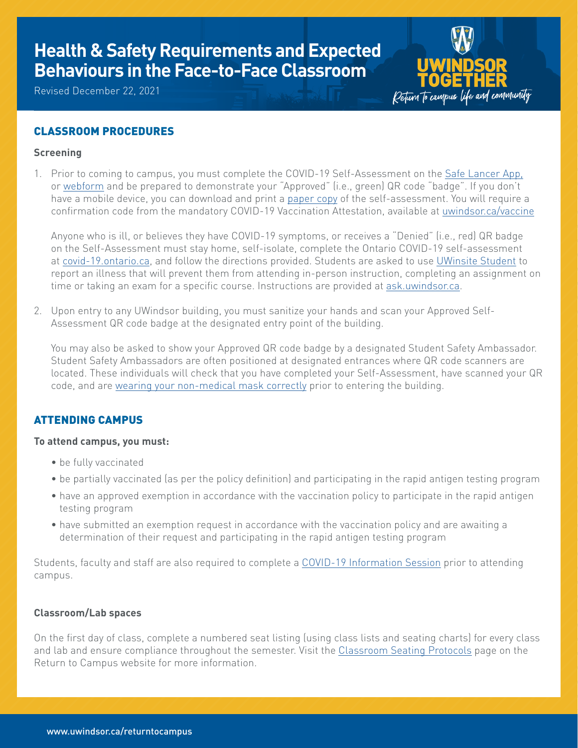# **Health & Safety Requirements and Expected Behaviours in the Face-to-Face Classroom**

Revised December 22, 2021



## CLASSROOM PROCEDURES

## **Screening**

1. Prior to coming to campus, you must complete the COVID-19 Self-Assessment on the Safe [Lancer](https://www.uwindsor.ca/returntocampus/339/self-assessment-questionnaire) App, or [webform](https://uwindsor.apparmor.com/WebApp/default.aspx?menu=Start+Web+Self+Assessment) and be prepared to demonstrate your "Approved" (i.e., green) QR code "badge". If you don't have a mobile device, you can download and print a [paper](https://www.uwindsor.ca/returntocampus/sites/uwindsor.ca.returntocampus/files/selfassessmentquestionnaire_rtc.pdf) copy of the self-assessment. You will require a confirmation code from the mandatory COVID-19 Vaccination Attestation, available at [uwindsor.ca/vaccine](http://uwindsor.ca/vaccine)

Anyone who is ill, or believes they have COVID-19 symptoms, or receives a "Denied" (i.e., red) QR badge on the Self-Assessment must stay home, self-isolate, complete the Ontario COVID-19 self-assessment at [covid-19.ontario.ca,](http://covid-19.ontario.ca) and follow the directions provided. Students are asked to use [UWinsite](https://www.uwindsor.ca/registrar/uwinsite-student) Student to report an illness that will prevent them from attending in-person instruction, completing an assignment on time or taking an exam for a specific course. Instructions are provided at [ask.uwindsor.ca](http://ask.uwindsor.ca/app/answers/detail/a_id/577).

2. Upon entry to any UWindsor building, you must sanitize your hands and scan your Approved Self-Assessment QR code badge at the designated entry point of the building.

You may also be asked to show your Approved QR code badge by a designated Student Safety Ambassador. Student Safety Ambassadors are often positioned at designated entrances where QR code scanners are located. These individuals will check that you have completed your Self-Assessment, have scanned your QR code, and are wearing your [non-medical](https://youtu.be/_bHOSlMEAL8) mask correctly prior to entering the building.

## ATTENDING CAMPUS

#### **To attend campus, you must:**

- be fully vaccinated
- be partially vaccinated (as per the policy definition) and participating in the rapid antigen testing program
- have an approved exemption in accordance with the vaccination policy to participate in the rapid antigen testing program
- have submitted an exemption request in accordance with the vaccination policy and are awaiting a determination of their request and participating in the rapid antigen testing program

Students, faculty and staff are also required to complete a COVID-19 [Information](https://www.uwindsor.ca/returntocampus/340/information-sessions) Session prior to attending campus.

#### **Classroom/Lab spaces**

On the first day of class, complete a numbered seat listing (using class lists and seating charts) for every class and lab and ensure compliance throughout the semester. Visit the Classroom Seating Protocols page on the Return to Campus website for more information.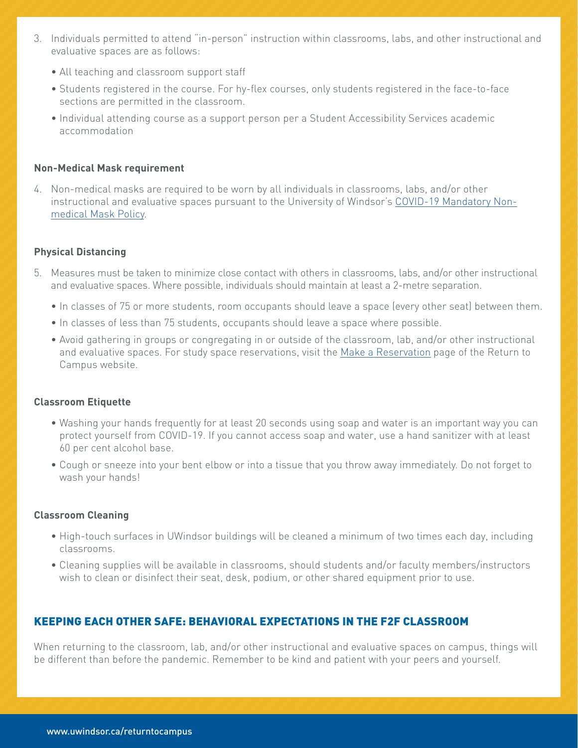- 3. Individuals permitted to attend "in-person" instruction within classrooms, labs, and other instructional and evaluative spaces are as follows:
	- All teaching and classroom support staff
	- • Students registered in the course. For hy-flex courses, only students registered in the face-to-face sections are permitted in the classroom.
	- Individual attending course as a support person per a Student Accessibility Services academic accommodation

#### **Non-Medical Mask requirement**

4. Non-medical masks are required to be worn by all individuals in classrooms, labs, and/or other instructional and evaluative spaces pursuant to the University of Windsor's COVID-19 [Mandatory](https://lawlibrary.uwindsor.ca/Presto/content/Detail.aspx?ctID=OTdhY2QzODgtNjhlYi00ZWY0LTg2OTUtNmU5NjEzY2JkMWYx&rID=MjQw&qrs=RmFsc2U=&q=KFVuaXZlcnNpdHlfb2ZfV2luZHNvcl9DZW50cmFsX1BvbGljaWVzLkFsbFRleHQ6KENPVklEKSk=&ph=VHJ1ZQ==&bckToL=VHJ1ZQ==&rrtc=VHJ1ZQ==) Non[medical](https://lawlibrary.uwindsor.ca/Presto/content/Detail.aspx?ctID=OTdhY2QzODgtNjhlYi00ZWY0LTg2OTUtNmU5NjEzY2JkMWYx&rID=MjQw&qrs=RmFsc2U=&q=KFVuaXZlcnNpdHlfb2ZfV2luZHNvcl9DZW50cmFsX1BvbGljaWVzLkFsbFRleHQ6KENPVklEKSk=&ph=VHJ1ZQ==&bckToL=VHJ1ZQ==&rrtc=VHJ1ZQ==) Mask Policy.

#### **Physical Distancing**

- 5. Measures must be taken to minimize close contact with others in classrooms, labs, and/or other instructional and evaluative spaces. Where possible, individuals should maintain at least a 2-metre separation.
	- In classes of 75 or more students, room occupants should leave a space (every other seat) between them.
	- In classes of less than 75 students, occupants should leave a space where possible.
	- • Avoid gathering in groups or congregating in or outside of the classroom, lab, and/or other instructional and evaluative spaces. For study space reservations, visit the Make a [Reservation](https://www.uwindsor.ca/returntocampus/465/make-reservation ) page of the Return to Campus website.

#### **Classroom Etiquette**

- Washing your hands frequently for at least 20 seconds using soap and water is an important way you can protect yourself from COVID-19. If you cannot access soap and water, use a hand sanitizer with at least 60 per cent alcohol base.
- Cough or sneeze into your bent elbow or into a tissue that you throw away immediately. Do not forget to wash your hands!

#### **Classroom Cleaning**

- High-touch surfaces in UWindsor buildings will be cleaned a minimum of two times each day, including classrooms.
- • Cleaning supplies will be available in classrooms, should students and/or faculty members/instructors wish to clean or disinfect their seat, desk, podium, or other shared equipment prior to use.

### KEEPING EACH OTHER SAFE: BEHAVIORAL EXPECTATIONS IN THE F2F CLASSROOM

When returning to the classroom, lab, and/or other instructional and evaluative spaces on campus, things will be different than before the pandemic. Remember to be kind and patient with your peers and yourself.